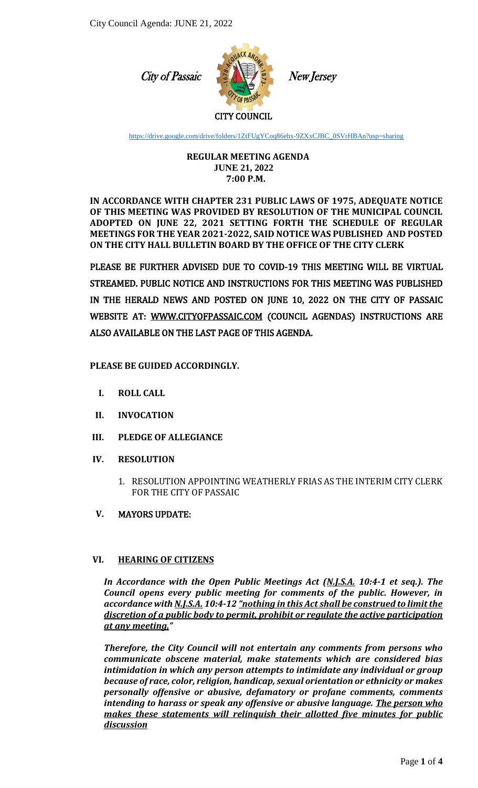City of Passaic



New Jersey

### CITY COUNCIL

[https://drive.google.com/drive/folders/1ZtFUgYCoq86ehx-9ZXxCJBC\\_0SVrHBAn?usp=sharing](https://drive.google.com/drive/folders/1ZtFUgYCoq86ehx-9ZXxCJBC_0SVrHBAn?usp=sharing)

#### **REGULAR MEETING AGENDA JUNE 21, 2022 7:00 P.M.**

**IN ACCORDANCE WITH CHAPTER 231 PUBLIC LAWS OF 1975, ADEQUATE NOTICE OF THIS MEETING WAS PROVIDED BY RESOLUTION OF THE MUNICIPAL COUNCIL ADOPTED ON JUNE 22, 2021 SETTING FORTH THE SCHEDULE OF REGULAR MEETINGS FOR THE YEAR 2021-2022, SAID NOTICE WAS PUBLISHED AND POSTED ON THE CITY HALL BULLETIN BOARD BY THE OFFICE OF THE CITY CLERK**

PLEASE BE FURTHER ADVISED DUE TO COVID-19 THIS MEETING WILL BE VIRTUAL STREAMED. PUBLIC NOTICE AND INSTRUCTIONS FOR THIS MEETING WAS PUBLISHED IN THE HERALD NEWS AND POSTED ON JUNE 10, 2022 ON THE CITY OF PASSAIC WEBSITE AT: [WWW.CITYOFPASSAIC.COM](http://www.cityofpassaic.com/) (COUNCIL AGENDAS) INSTRUCTIONS ARE ALSO AVAILABLE ON THE LAST PAGE OF THIS AGENDA.

# **PLEASE BE GUIDED ACCORDINGLY.**

- **I. ROLL CALL**
- **II. INVOCATION**
- **III. PLEDGE OF ALLEGIANCE**

# **IV. RESOLUTION**

1. RESOLUTION APPOINTING WEATHERLY FRIAS AS THE INTERIM CITY CLERK FOR THE CITY OF PASSAIC

# **V.** MAYORS UPDATE:

# **VI. HEARING OF CITIZENS**

*In Accordance with the Open Public Meetings Act (N.J.S.A. 10:4-1 et seq.). The Council opens every public meeting for comments of the public. However, in accordance with N.J.S.A. 10:4-12 "nothing in this Act shall be construed to limit the discretion of a public body to permit, prohibit or regulate the active participation at any meeting,"*

*Therefore, the City Council will not entertain any comments from persons who communicate obscene material, make statements which are considered bias intimidation in which any person attempts to intimidate any individual or group because of race, color, religion, handicap, sexual orientation or ethnicity or makes personally offensive or abusive, defamatory or profane comments, comments intending to harass or speak any offensive or abusive language. The person who makes these statements will relinquish their allotted five minutes for public discussion*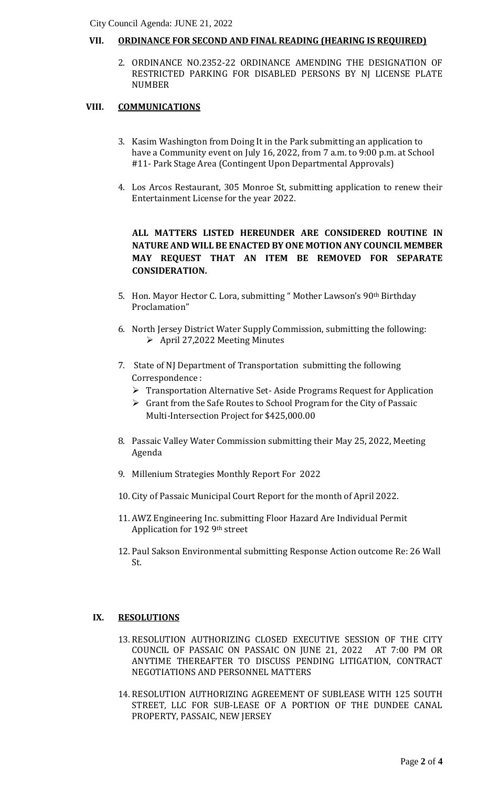### **VII. ORDINANCE FOR SECOND AND FINAL READING (HEARING IS REQUIRED)**

 $\overline{a}$ 2. ORDINANCE NO.2352-22 ORDINANCE AMENDING THE DESIGNATION OF RESTRICTED PARKING FOR DISABLED PERSONS BY NJ LICENSE PLATE NUMBER

### **VIII. COMMUNICATIONS**

- 3. Kasim Washington from Doing It in the Park submitting an application to have a Community event on July 16, 2022, from 7 a.m. to 9:00 p.m. at School #11- Park Stage Area (Contingent Upon Departmental Approvals)
- 4. Los Arcos Restaurant, 305 Monroe St, submitting application to renew their Entertainment License for the year 2022.

**ALL MATTERS LISTED HEREUNDER ARE CONSIDERED ROUTINE IN NATURE AND WILL BE ENACTED BY ONE MOTION ANY COUNCIL MEMBER MAY REQUEST THAT AN ITEM BE REMOVED FOR SEPARATE CONSIDERATION.**

- 5. Hon. Mayor Hector C. Lora, submitting " Mother Lawson's 90th Birthday Proclamation"
- 6. North Jersey District Water Supply Commission, submitting the following: April 27,2022 Meeting Minutes
- 7. State of NJ Department of Transportation submitting the following Correspondence :
	- $\triangleright$  Transportation Alternative Set-Aside Programs Request for Application
	- $\triangleright$  Grant from the Safe Routes to School Program for the City of Passaic Multi-Intersection Project for \$425,000.00
- 8. Passaic Valley Water Commission submitting their May 25, 2022, Meeting Agenda
- 9. Millenium Strategies Monthly Report For 2022
- 10. City of Passaic Municipal Court Report for the month of April 2022.
- 11. AWZ Engineering Inc. submitting Floor Hazard Are Individual Permit Application for 192 9th street
- 12. Paul Sakson Environmental submitting Response Action outcome Re: 26 Wall St.

### **IX. RESOLUTIONS**

- 13. RESOLUTION AUTHORIZING CLOSED EXECUTIVE SESSION OF THE CITY COUNCIL OF PASSAIC ON PASSAIC ON JUNE 21, 2022 AT 7:00 PM OR ANYTIME THEREAFTER TO DISCUSS PENDING LITIGATION, CONTRACT NEGOTIATIONS AND PERSONNEL MATTERS
- 14. RESOLUTION AUTHORIZING AGREEMENT OF SUBLEASE WITH 125 SOUTH STREET, LLC FOR SUB-LEASE OF A PORTION OF THE DUNDEE CANAL PROPERTY, PASSAIC, NEW JERSEY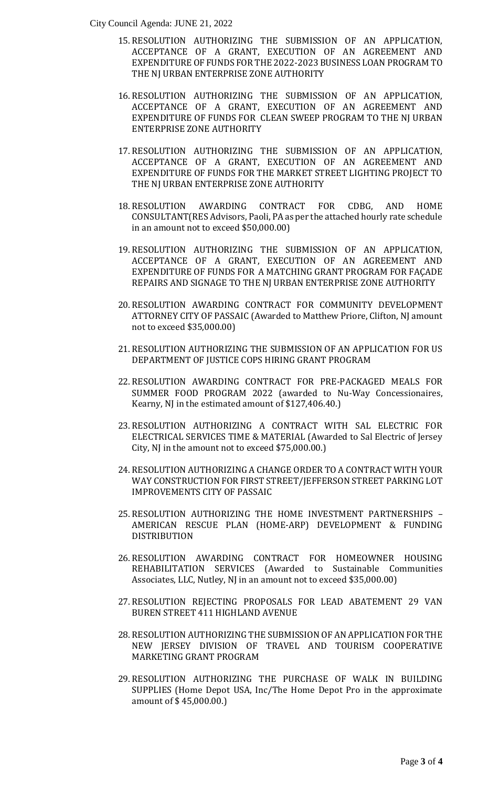City Council Agenda: JUNE 21, 2022

- ACCEPTANCE OF A GRANT, EXECUTION OF AN AGREEMENT AND EXPENDITURE OF FUNDS FOR THE 2022-2023 BUSINESS LOAN PROGRAM TO 15. RESOLUTION AUTHORIZING THE SUBMISSION OF AN APPLICATION, THE NJ URBAN ENTERPRISE ZONE AUTHORITY
- 16. RESOLUTION AUTHORIZING THE SUBMISSION OF AN APPLICATION, ACCEPTANCE OF A GRANT, EXECUTION OF AN AGREEMENT AND EXPENDITURE OF FUNDS FOR CLEAN SWEEP PROGRAM TO THE NJ URBAN ENTERPRISE ZONE AUTHORITY
- 17. RESOLUTION AUTHORIZING THE SUBMISSION OF AN APPLICATION, ACCEPTANCE OF A GRANT, EXECUTION OF AN AGREEMENT AND EXPENDITURE OF FUNDS FOR THE MARKET STREET LIGHTING PROJECT TO THE NJ URBAN ENTERPRISE ZONE AUTHORITY
- 18. RESOLUTION AWARDING CONTRACT FOR CDBG, AND HOME CONSULTANT(RES Advisors, Paoli, PA as per the attached hourly rate schedule in an amount not to exceed \$50,000.00)
- 19. RESOLUTION AUTHORIZING THE SUBMISSION OF AN APPLICATION, ACCEPTANCE OF A GRANT, EXECUTION OF AN AGREEMENT AND EXPENDITURE OF FUNDS FOR A MATCHING GRANT PROGRAM FOR FAÇADE REPAIRS AND SIGNAGE TO THE NJ URBAN ENTERPRISE ZONE AUTHORITY
- 20. RESOLUTION AWARDING CONTRACT FOR COMMUNITY DEVELOPMENT ATTORNEY CITY OF PASSAIC (Awarded to Matthew Priore, Clifton, NJ amount not to exceed \$35,000.00)
- 21. RESOLUTION AUTHORIZING THE SUBMISSION OF AN APPLICATION FOR US DEPARTMENT OF JUSTICE COPS HIRING GRANT PROGRAM
- 22. RESOLUTION AWARDING CONTRACT FOR PRE-PACKAGED MEALS FOR SUMMER FOOD PROGRAM 2022 (awarded to Nu-Way Concessionaires, Kearny, NJ in the estimated amount of \$127,406.40.)
- 23. RESOLUTION AUTHORIZING A CONTRACT WITH SAL ELECTRIC FOR ELECTRICAL SERVICES TIME & MATERIAL (Awarded to Sal Electric of Jersey City, NJ in the amount not to exceed \$75,000.00.)
- 24. RESOLUTION AUTHORIZING A CHANGE ORDER TO A CONTRACT WITH YOUR WAY CONSTRUCTION FOR FIRST STREET/JEFFERSON STREET PARKING LOT IMPROVEMENTS CITY OF PASSAIC
- 25. RESOLUTION AUTHORIZING THE HOME INVESTMENT PARTNERSHIPS AMERICAN RESCUE PLAN (HOME-ARP) DEVELOPMENT & FUNDING DISTRIBUTION
- 26. RESOLUTION AWARDING CONTRACT FOR HOMEOWNER HOUSING REHABILITATION SERVICES (Awarded to Sustainable Communities Associates, LLC, Nutley, NJ in an amount not to exceed \$35,000.00)
- 27. RESOLUTION REJECTING PROPOSALS FOR LEAD ABATEMENT 29 VAN BUREN STREET 411 HIGHLAND AVENUE
- 28. RESOLUTION AUTHORIZING THE SUBMISSION OF AN APPLICATION FOR THE NEW JERSEY DIVISION OF TRAVEL AND TOURISM COOPERATIVE MARKETING GRANT PROGRAM
- 29. RESOLUTION AUTHORIZING THE PURCHASE OF WALK IN BUILDING SUPPLIES (Home Depot USA, Inc/The Home Depot Pro in the approximate amount of \$ 45,000.00.)